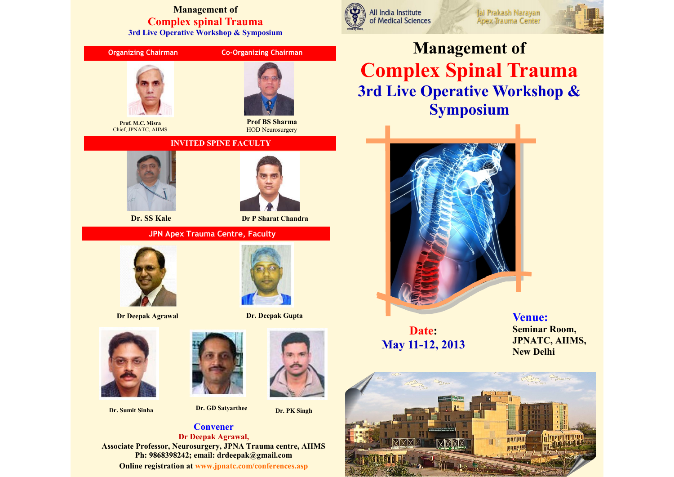#### **Management of Complex spinal Trauma 3rd Live Operative Workshop & Symposium**



**Dr. Sumit Sinha Dr. GD Satyarthee** 

**Dr. PK Singh**

**Convener Dr Deepak Agrawal, Associate Professor, Neurosurgery, JPNA Trauma centre, AIIMS Ph: 9868398242; email: drdeepak@gmail.com Online registration at www.jpnatc.com/conferences.asp**

All India Institute of Medical Sciences



**Management of Complex Spinal Trauma 3rd Live Operative Workshop & Symposium**

Jai Prakash Narayan

Apex Trauma Center



**Date: May 11-12, 2013** **Venue: Seminar Room, JPNATC, AIIMS, New Delhi**